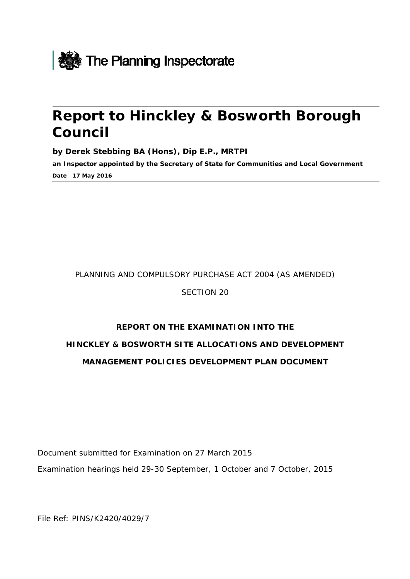

# **Report to Hinckley & Bosworth Borough Council**

**by Derek Stebbing BA (Hons), Dip E.P., MRTPI** 

**an Inspector appointed by the Secretary of State for Communities and Local Government Date 17 May 2016** 

#### PLANNING AND COMPULSORY PURCHASE ACT 2004 (AS AMENDED)

SECTION 20

# **REPORT ON THE EXAMINATION INTO THE HINCKLEY & BOSWORTH SITE ALLOCATIONS AND DEVELOPMENT MANAGEMENT POLICIES DEVELOPMENT PLAN DOCUMENT**

Document submitted for Examination on 27 March 2015 Examination hearings held 29-30 September, 1 October and 7 October, 2015

File Ref: PINS/K2420/4029/7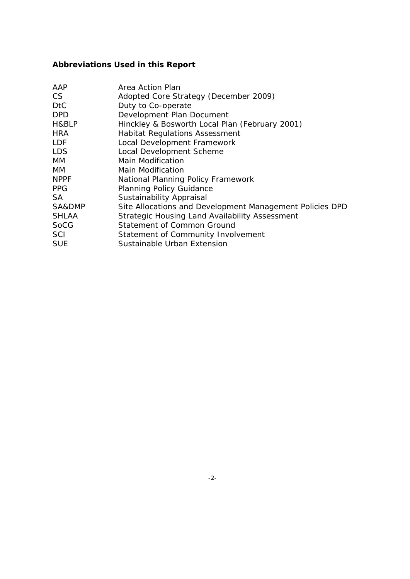### **Abbreviations Used in this Report**

| AAP          | Area Action Plan                                         |
|--------------|----------------------------------------------------------|
| CS.          | Adopted Core Strategy (December 2009)                    |
| DtC          | Duty to Co-operate                                       |
| DPD          | Development Plan Document                                |
| H&BLP        | Hinckley & Bosworth Local Plan (February 2001)           |
| HRA          | <b>Habitat Regulations Assessment</b>                    |
| LDF          | Local Development Framework                              |
| LDS          | Local Development Scheme                                 |
| МM           | Main Modification                                        |
| MМ           | Main Modification                                        |
| <b>NPPF</b>  | National Planning Policy Framework                       |
| <b>PPG</b>   | <b>Planning Policy Guidance</b>                          |
| SA           | Sustainability Appraisal                                 |
| SA&DMP       | Site Allocations and Development Management Policies DPD |
| <b>SHLAA</b> | Strategic Housing Land Availability Assessment           |
| SoCG         | Statement of Common Ground                               |
| SCI          | Statement of Community Involvement                       |
| SUE          | Sustainable Urban Extension                              |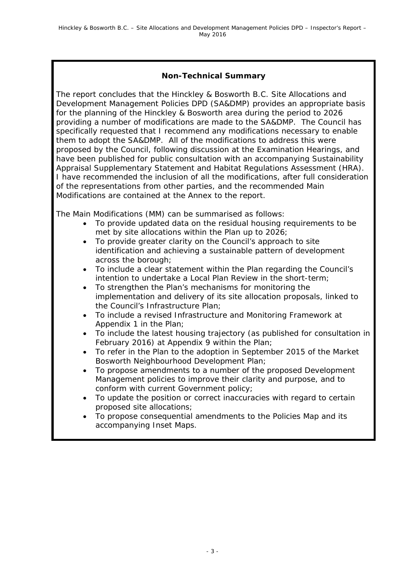### **Non-Technical Summary**

The report concludes that the Hinckley & Bosworth B.C. Site Allocations and Development Management Policies DPD (SA&DMP) provides an appropriate basis for the planning of the Hinckley & Bosworth area during the period to 2026 providing a number of modifications are made to the SA&DMP. The Council has specifically requested that I recommend any modifications necessary to enable them to adopt the SA&DMP. All of the modifications to address this were proposed by the Council, following discussion at the Examination Hearings, and have been published for public consultation with an accompanying Sustainability Appraisal Supplementary Statement and Habitat Regulations Assessment (HRA). I have recommended the inclusion of all the modifications, after full consideration of the representations from other parties, and the recommended Main Modifications are contained at the Annex to the report.

The Main Modifications (MM) can be summarised as follows:

- To provide updated data on the residual housing requirements to be met by site allocations within the Plan up to 2026;
- To provide greater clarity on the Council's approach to site identification and achieving a sustainable pattern of development across the borough;
- To include a clear statement within the Plan regarding the Council's intention to undertake a Local Plan Review in the short-term;
- To strengthen the Plan's mechanisms for monitoring the implementation and delivery of its site allocation proposals, linked to the Council's Infrastructure Plan;
- To include a revised Infrastructure and Monitoring Framework at Appendix 1 in the Plan;
- To include the latest housing trajectory (as published for consultation in February 2016) at Appendix 9 within the Plan;
- To refer in the Plan to the adoption in September 2015 of the Market Bosworth Neighbourhood Development Plan;
- To propose amendments to a number of the proposed Development Management policies to improve their clarity and purpose, and to conform with current Government policy;
- To update the position or correct inaccuracies with regard to certain proposed site allocations;
- To propose consequential amendments to the Policies Map and its accompanying Inset Maps.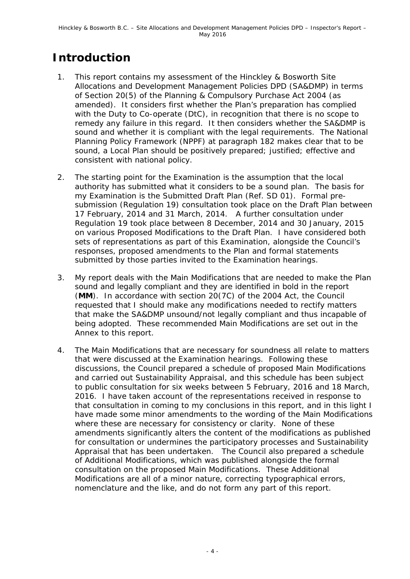# **Introduction**

- 1. This report contains my assessment of the Hinckley & Bosworth Site Allocations and Development Management Policies DPD (SA&DMP) in terms of Section 20(5) of the Planning & Compulsory Purchase Act 2004 (as amended). It considers first whether the Plan's preparation has complied with the Duty to Co-operate (DtC), in recognition that there is no scope to remedy any failure in this regard. It then considers whether the SA&DMP is sound and whether it is compliant with the legal requirements. The National Planning Policy Framework (NPPF) at paragraph 182 makes clear that to be sound, a Local Plan should be positively prepared; justified; effective and consistent with national policy.
- 2. The starting point for the Examination is the assumption that the local authority has submitted what it considers to be a sound plan. The basis for my Examination is the Submitted Draft Plan (Ref. SD 01). Formal presubmission (Regulation 19) consultation took place on the Draft Plan between 17 February, 2014 and 31 March, 2014. A further consultation under Regulation 19 took place between 8 December, 2014 and 30 January, 2015 on various Proposed Modifications to the Draft Plan. I have considered both sets of representations as part of this Examination, alongside the Council's responses, proposed amendments to the Plan and formal statements submitted by those parties invited to the Examination hearings.
- 3. My report deals with the Main Modifications that are needed to make the Plan sound and legally compliant and they are identified in bold in the report (**MM**). In accordance with section 20(7C) of the 2004 Act, the Council requested that I should make any modifications needed to rectify matters that make the SA&DMP unsound/not legally compliant and thus incapable of being adopted. These recommended Main Modifications are set out in the Annex to this report.
- 4. The Main Modifications that are necessary for soundness all relate to matters that were discussed at the Examination hearings. Following these discussions, the Council prepared a schedule of proposed Main Modifications and carried out Sustainability Appraisal, and this schedule has been subject to public consultation for six weeks between 5 February, 2016 and 18 March, 2016. I have taken account of the representations received in response to that consultation in coming to my conclusions in this report, and in this light I have made some minor amendments to the wording of the Main Modifications where these are necessary for consistency or clarity. None of these amendments significantly alters the content of the modifications as published for consultation or undermines the participatory processes and Sustainability Appraisal that has been undertaken. The Council also prepared a schedule of Additional Modifications, which was published alongside the formal consultation on the proposed Main Modifications. These Additional Modifications are all of a minor nature, correcting typographical errors, nomenclature and the like, and do not form any part of this report.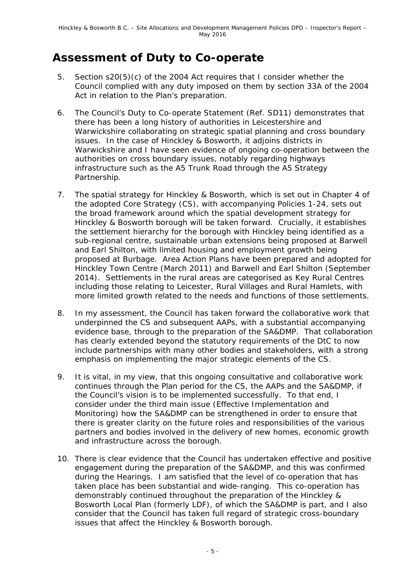## **Assessment of Duty to Co-operate**

- 5. Section s20(5)(c) of the 2004 Act requires that I consider whether the Council complied with any duty imposed on them by section 33A of the 2004 Act in relation to the Plan's preparation.
- 6. The Council's Duty to Co-operate Statement (Ref. SD11) demonstrates that there has been a long history of authorities in Leicestershire and Warwickshire collaborating on strategic spatial planning and cross boundary issues. In the case of Hinckley & Bosworth, it adjoins districts in Warwickshire and I have seen evidence of ongoing co-operation between the authorities on cross boundary issues, notably regarding highways infrastructure such as the A5 Trunk Road through the A5 Strategy Partnership.
- 7. The spatial strategy for Hinckley & Bosworth, which is set out in Chapter 4 of the adopted Core Strategy (CS), with accompanying Policies 1-24, sets out the broad framework around which the spatial development strategy for Hinckley & Bosworth borough will be taken forward. Crucially, it establishes the settlement hierarchy for the borough with Hinckley being identified as a sub-regional centre, sustainable urban extensions being proposed at Barwell and Earl Shilton, with limited housing and employment growth being proposed at Burbage. Area Action Plans have been prepared and adopted for Hinckley Town Centre (March 2011) and Barwell and Earl Shilton (September 2014). Settlements in the rural areas are categorised as Key Rural Centres including those relating to Leicester, Rural Villages and Rural Hamlets, with more limited growth related to the needs and functions of those settlements.
- 8. In my assessment, the Council has taken forward the collaborative work that underpinned the CS and subsequent AAPs, with a substantial accompanying evidence base, through to the preparation of the SA&DMP. That collaboration has clearly extended beyond the statutory requirements of the DtC to now include partnerships with many other bodies and stakeholders, with a strong emphasis on implementing the major strategic elements of the CS.
- 9. It is vital, in my view, that this ongoing consultative and collaborative work continues through the Plan period for the CS, the AAPs and the SA&DMP, if the Council's vision is to be implemented successfully. To that end, I consider under the third main issue (Effective Implementation and Monitoring) how the SA&DMP can be strengthened in order to ensure that there is greater clarity on the future roles and responsibilities of the various partners and bodies involved in the delivery of new homes, economic growth and infrastructure across the borough.
- 10. There is clear evidence that the Council has undertaken effective and positive engagement during the preparation of the SA&DMP, and this was confirmed during the Hearings. I am satisfied that the level of co-operation that has taken place has been substantial and wide-ranging. This co-operation has demonstrably continued throughout the preparation of the Hinckley & Bosworth Local Plan (formerly LDF), of which the SA&DMP is part, and I also consider that the Council has taken full regard of strategic cross-boundary issues that affect the Hinckley & Bosworth borough.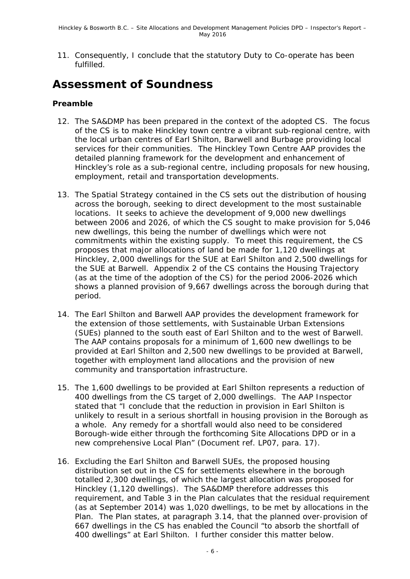11. Consequently, I conclude that the statutory Duty to Co-operate has been fulfilled.

### **Assessment of Soundness**

#### **Preamble**

- 12. The SA&DMP has been prepared in the context of the adopted CS. The focus of the CS is to make Hinckley town centre a vibrant sub-regional centre, with the local urban centres of Earl Shilton, Barwell and Burbage providing local services for their communities. The Hinckley Town Centre AAP provides the detailed planning framework for the development and enhancement of Hinckley's role as a sub-regional centre, including proposals for new housing, employment, retail and transportation developments.
- 13. The Spatial Strategy contained in the CS sets out the distribution of housing across the borough, seeking to direct development to the most sustainable locations. It seeks to achieve the development of 9,000 new dwellings between 2006 and 2026, of which the CS sought to make provision for 5,046 new dwellings, this being the number of dwellings which were not commitments within the existing supply. To meet this requirement, the CS proposes that major allocations of land be made for 1,120 dwellings at Hinckley, 2,000 dwellings for the SUE at Earl Shilton and 2,500 dwellings for the SUE at Barwell. Appendix 2 of the CS contains the Housing Trajectory (as at the time of the adoption of the CS) for the period 2006-2026 which shows a planned provision of 9,667 dwellings across the borough during that period.
- 14. The Earl Shilton and Barwell AAP provides the development framework for the extension of those settlements, with Sustainable Urban Extensions (SUEs) planned to the south east of Earl Shilton and to the west of Barwell. The AAP contains proposals for a minimum of 1,600 new dwellings to be provided at Earl Shilton and 2,500 new dwellings to be provided at Barwell, together with employment land allocations and the provision of new community and transportation infrastructure.
- 15. The 1,600 dwellings to be provided at Earl Shilton represents a reduction of 400 dwellings from the CS target of 2,000 dwellings. The AAP Inspector stated that "I conclude that the reduction in provision in Earl Shilton is unlikely to result in a serious shortfall in housing provision in the Borough as a whole. Any remedy for a shortfall would also need to be considered Borough-wide either through the forthcoming Site Allocations DPD or in a new comprehensive Local Plan" (Document ref. LP07, para. 17).
- 16. Excluding the Earl Shilton and Barwell SUEs, the proposed housing distribution set out in the CS for settlements elsewhere in the borough totalled 2,300 dwellings, of which the largest allocation was proposed for Hinckley (1,120 dwellings). The SA&DMP therefore addresses this requirement, and Table 3 in the Plan calculates that the residual requirement (as at September 2014) was 1,020 dwellings, to be met by allocations in the Plan. The Plan states, at paragraph 3.14, that the planned over-provision of 667 dwellings in the CS has enabled the Council "to absorb the shortfall of 400 dwellings" at Earl Shilton. I further consider this matter below.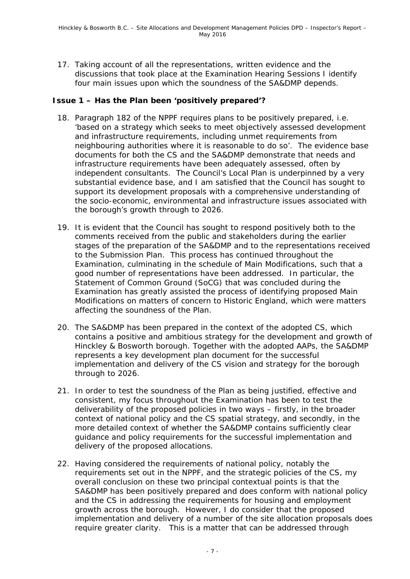17. Taking account of all the representations, written evidence and the discussions that took place at the Examination Hearing Sessions I identify four main issues upon which the soundness of the SA&DMP depends.

#### **Issue 1 – Has the Plan been 'positively prepared'?**

- 18. Paragraph 182 of the NPPF requires plans to be positively prepared, i.e. *'based on a strategy which seeks to meet objectively assessed development and infrastructure requirements, including unmet requirements from neighbouring authorities where it is reasonable to do so'.* The evidence base documents for both the CS and the SA&DMP demonstrate that needs and infrastructure requirements have been adequately assessed, often by independent consultants. The Council's Local Plan is underpinned by a very substantial evidence base, and I am satisfied that the Council has sought to support its development proposals with a comprehensive understanding of the socio-economic, environmental and infrastructure issues associated with the borough's growth through to 2026.
- 19. It is evident that the Council has sought to respond positively both to the comments received from the public and stakeholders during the earlier stages of the preparation of the SA&DMP and to the representations received to the Submission Plan. This process has continued throughout the Examination, culminating in the schedule of Main Modifications, such that a good number of representations have been addressed. In particular, the Statement of Common Ground (SoCG) that was concluded during the Examination has greatly assisted the process of identifying proposed Main Modifications on matters of concern to Historic England, which were matters affecting the soundness of the Plan.
- 20. The SA&DMP has been prepared in the context of the adopted CS, which contains a positive and ambitious strategy for the development and growth of Hinckley & Bosworth borough. Together with the adopted AAPs, the SA&DMP represents a key development plan document for the successful implementation and delivery of the CS vision and strategy for the borough through to 2026.
- 21. In order to test the soundness of the Plan as being justified, effective and consistent, my focus throughout the Examination has been to test the deliverability of the proposed policies in two ways – firstly, in the broader context of national policy and the CS spatial strategy, and secondly, in the more detailed context of whether the SA&DMP contains sufficiently clear guidance and policy requirements for the successful implementation and delivery of the proposed allocations.
- 22. Having considered the requirements of national policy, notably the requirements set out in the NPPF, and the strategic policies of the CS, my overall conclusion on these two principal contextual points is that the SA&DMP has been positively prepared and does conform with national policy and the CS in addressing the requirements for housing and employment growth across the borough. However, I do consider that the proposed implementation and delivery of a number of the site allocation proposals does require greater clarity. This is a matter that can be addressed through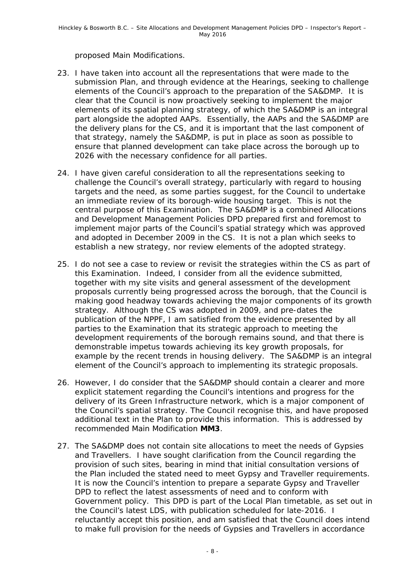proposed Main Modifications.

- 23. I have taken into account all the representations that were made to the submission Plan, and through evidence at the Hearings, seeking to challenge elements of the Council's approach to the preparation of the SA&DMP. It is clear that the Council is now proactively seeking to implement the major elements of its spatial planning strategy, of which the SA&DMP is an integral part alongside the adopted AAPs. Essentially, the AAPs and the SA&DMP are the delivery plans for the CS, and it is important that the last component of that strategy, namely the SA&DMP, is put in place as soon as possible to ensure that planned development can take place across the borough up to 2026 with the necessary confidence for all parties.
- 24. I have given careful consideration to all the representations seeking to challenge the Council's overall strategy, particularly with regard to housing targets and the need, as some parties suggest, for the Council to undertake an immediate review of its borough-wide housing target. This is not the central purpose of this Examination. The SA&DMP is a combined Allocations and Development Management Policies DPD prepared first and foremost to implement major parts of the Council's spatial strategy which was approved and adopted in December 2009 in the CS. It is not a plan which seeks to establish a new strategy, nor review elements of the adopted strategy.
- 25. I do not see a case to review or revisit the strategies within the CS as part of this Examination. Indeed, I consider from all the evidence submitted, together with my site visits and general assessment of the development proposals currently being progressed across the borough, that the Council is making good headway towards achieving the major components of its growth strategy. Although the CS was adopted in 2009, and pre-dates the publication of the NPPF, I am satisfied from the evidence presented by all parties to the Examination that its strategic approach to meeting the development requirements of the borough remains sound, and that there is demonstrable impetus towards achieving its key growth proposals, for example by the recent trends in housing delivery. The SA&DMP is an integral element of the Council's approach to implementing its strategic proposals.
- 26. However, I do consider that the SA&DMP should contain a clearer and more explicit statement regarding the Council's intentions and progress for the delivery of its Green Infrastructure network, which is a major component of the Council's spatial strategy. The Council recognise this, and have proposed additional text in the Plan to provide this information. This is addressed by recommended Main Modification **MM3**.
- 27. The SA&DMP does not contain site allocations to meet the needs of Gypsies and Travellers. I have sought clarification from the Council regarding the provision of such sites, bearing in mind that initial consultation versions of the Plan included the stated need to meet Gypsy and Traveller requirements. It is now the Council's intention to prepare a separate Gypsy and Traveller DPD to reflect the latest assessments of need and to conform with Government policy. This DPD is part of the Local Plan timetable, as set out in the Council's latest LDS, with publication scheduled for late-2016. I reluctantly accept this position, and am satisfied that the Council does intend to make full provision for the needs of Gypsies and Travellers in accordance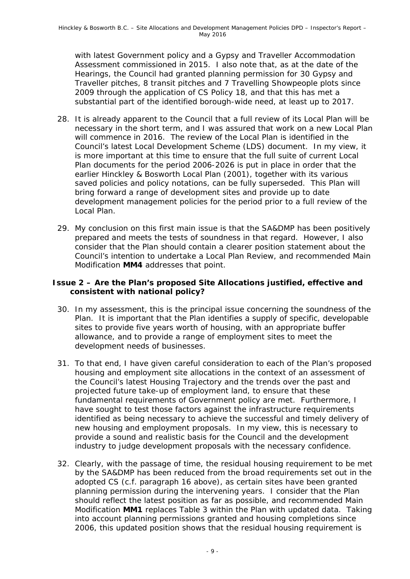with latest Government policy and a Gypsy and Traveller Accommodation Assessment commissioned in 2015. I also note that, as at the date of the Hearings, the Council had granted planning permission for 30 Gypsy and Traveller pitches, 8 transit pitches and 7 Travelling Showpeople plots since 2009 through the application of CS Policy 18, and that this has met a substantial part of the identified borough-wide need, at least up to 2017.

- 28. It is already apparent to the Council that a full review of its Local Plan will be necessary in the short term, and I was assured that work on a new Local Plan will commence in 2016. The review of the Local Plan is identified in the Council's latest Local Development Scheme (LDS) document. In my view, it is more important at this time to ensure that the full suite of current Local Plan documents for the period 2006-2026 is put in place in order that the earlier Hinckley & Bosworth Local Plan (2001), together with its various saved policies and policy notations, can be fully superseded. This Plan will bring forward a range of development sites and provide up to date development management policies for the period prior to a full review of the Local Plan.
- 29. My conclusion on this first main issue is that the SA&DMP has been positively prepared and meets the tests of soundness in that regard. However, I also consider that the Plan should contain a clearer position statement about the Council's intention to undertake a Local Plan Review, and recommended Main Modification **MM4** addresses that point.

#### **Issue 2 – Are the Plan's proposed Site Allocations justified, effective and consistent with national policy?**

- 30. In my assessment, this is the principal issue concerning the soundness of the Plan. It is important that the Plan identifies a supply of specific, developable sites to provide five years worth of housing, with an appropriate buffer allowance, and to provide a range of employment sites to meet the development needs of businesses.
- 31. To that end, I have given careful consideration to each of the Plan's proposed housing and employment site allocations in the context of an assessment of the Council's latest Housing Trajectory and the trends over the past and projected future take-up of employment land, to ensure that these fundamental requirements of Government policy are met. Furthermore, I have sought to test those factors against the infrastructure requirements identified as being necessary to achieve the successful and timely delivery of new housing and employment proposals. In my view, this is necessary to provide a sound and realistic basis for the Council and the development industry to judge development proposals with the necessary confidence.
- 32. Clearly, with the passage of time, the residual housing requirement to be met by the SA&DMP has been reduced from the broad requirements set out in the adopted CS (c.f. paragraph 16 above), as certain sites have been granted planning permission during the intervening years. I consider that the Plan should reflect the latest position as far as possible, and recommended Main Modification **MM1** replaces Table 3 within the Plan with updated data. Taking into account planning permissions granted and housing completions since 2006, this updated position shows that the residual housing requirement is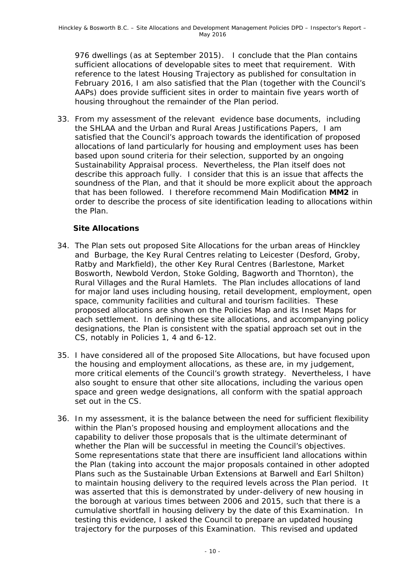976 dwellings (as at September 2015). I conclude that the Plan contains sufficient allocations of developable sites to meet that requirement. With reference to the latest Housing Trajectory as published for consultation in February 2016, I am also satisfied that the Plan (together with the Council's AAPs) does provide sufficient sites in order to maintain five years worth of housing throughout the remainder of the Plan period.

33. From my assessment of the relevant evidence base documents, including the SHLAA and the Urban and Rural Areas Justifications Papers, I am satisfied that the Council's approach towards the identification of proposed allocations of land particularly for housing and employment uses has been based upon sound criteria for their selection, supported by an ongoing Sustainability Appraisal process. Nevertheless, the Plan itself does not describe this approach fully. I consider that this is an issue that affects the soundness of the Plan, and that it should be more explicit about the approach that has been followed. I therefore recommend Main Modification **MM2** in order to describe the process of site identification leading to allocations within the Plan.

### **Site Allocations**

- 34. The Plan sets out proposed Site Allocations for the urban areas of Hinckley and Burbage, the Key Rural Centres relating to Leicester (Desford, Groby, Ratby and Markfield), the other Key Rural Centres (Barlestone, Market Bosworth, Newbold Verdon, Stoke Golding, Bagworth and Thornton), the Rural Villages and the Rural Hamlets. The Plan includes allocations of land for major land uses including housing, retail development, employment, open space, community facilities and cultural and tourism facilities. These proposed allocations are shown on the Policies Map and its Inset Maps for each settlement. In defining these site allocations, and accompanying policy designations, the Plan is consistent with the spatial approach set out in the CS, notably in Policies 1, 4 and 6-12.
- 35. I have considered all of the proposed Site Allocations, but have focused upon the housing and employment allocations, as these are, in my judgement, more critical elements of the Council's growth strategy. Nevertheless, I have also sought to ensure that other site allocations, including the various open space and green wedge designations, all conform with the spatial approach set out in the CS.
- 36. In my assessment, it is the balance between the need for sufficient flexibility within the Plan's proposed housing and employment allocations and the capability to deliver those proposals that is the ultimate determinant of whether the Plan will be successful in meeting the Council's objectives. Some representations state that there are insufficient land allocations within the Plan (taking into account the major proposals contained in other adopted Plans such as the Sustainable Urban Extensions at Barwell and Earl Shilton) to maintain housing delivery to the required levels across the Plan period. It was asserted that this is demonstrated by under-delivery of new housing in the borough at various times between 2006 and 2015, such that there is a cumulative shortfall in housing delivery by the date of this Examination. In testing this evidence, I asked the Council to prepare an updated housing trajectory for the purposes of this Examination. This revised and updated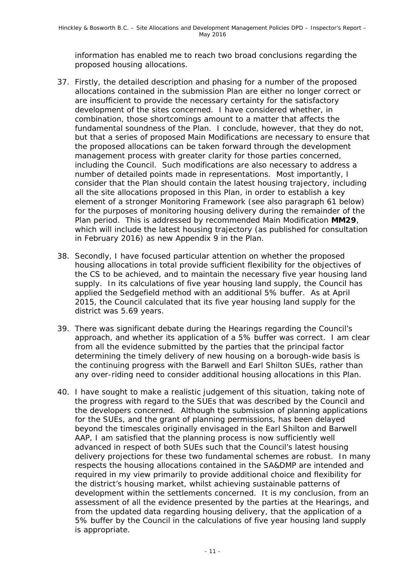information has enabled me to reach two broad conclusions regarding the proposed housing allocations.

- 37. Firstly, the detailed description and phasing for a number of the proposed allocations contained in the submission Plan are either no longer correct or are insufficient to provide the necessary certainty for the satisfactory development of the sites concerned. I have considered whether, in combination, those shortcomings amount to a matter that affects the fundamental soundness of the Plan. I conclude, however, that they do not, but that a series of proposed Main Modifications are necessary to ensure that the proposed allocations can be taken forward through the development management process with greater clarity for those parties concerned, including the Council. Such modifications are also necessary to address a number of detailed points made in representations. Most importantly, I consider that the Plan should contain the latest housing trajectory, including all the site allocations proposed in this Plan, in order to establish a key element of a stronger Monitoring Framework (see also paragraph 61 below) for the purposes of monitoring housing delivery during the remainder of the Plan period. This is addressed by recommended Main Modification **MM29**, which will include the latest housing trajectory (as published for consultation in February 2016) as new Appendix 9 in the Plan.
- 38. Secondly, I have focused particular attention on whether the proposed housing allocations in total provide sufficient flexibility for the objectives of the CS to be achieved, and to maintain the necessary five year housing land supply. In its calculations of five year housing land supply, the Council has applied the Sedgefield method with an additional 5% buffer. As at April 2015, the Council calculated that its five year housing land supply for the district was 5.69 years.
- 39. There was significant debate during the Hearings regarding the Council's approach, and whether its application of a 5% buffer was correct. I am clear from all the evidence submitted by the parties that the principal factor determining the timely delivery of new housing on a borough-wide basis is the continuing progress with the Barwell and Earl Shilton SUEs, rather than any over-riding need to consider additional housing allocations in this Plan.
- 40. I have sought to make a realistic judgement of this situation, taking note of the progress with regard to the SUEs that was described by the Council and the developers concerned. Although the submission of planning applications for the SUEs, and the grant of planning permissions, has been delayed beyond the timescales originally envisaged in the Earl Shilton and Barwell AAP, I am satisfied that the planning process is now sufficiently well advanced in respect of both SUEs such that the Council's latest housing delivery projections for these two fundamental schemes are robust. In many respects the housing allocations contained in the SA&DMP are intended and required in my view primarily to provide additional choice and flexibility for the district's housing market, whilst achieving sustainable patterns of development within the settlements concerned. It is my conclusion, from an assessment of all the evidence presented by the parties at the Hearings, and from the updated data regarding housing delivery, that the application of a 5% buffer by the Council in the calculations of five year housing land supply is appropriate.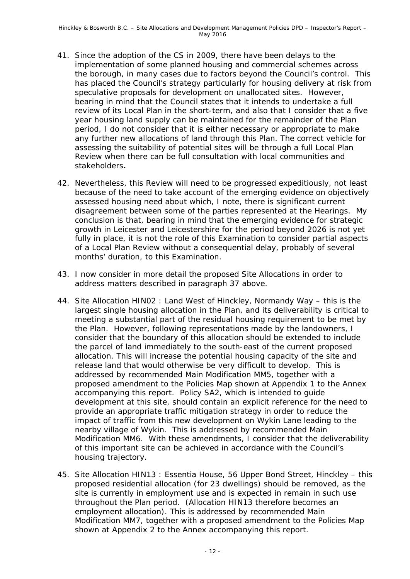- 41. Since the adoption of the CS in 2009, there have been delays to the implementation of some planned housing and commercial schemes across the borough, in many cases due to factors beyond the Council's control. This has placed the Council's strategy particularly for housing delivery at risk from speculative proposals for development on unallocated sites. However, bearing in mind that the Council states that it intends to undertake a full review of its Local Plan in the short-term, and also that I consider that a five year housing land supply can be maintained for the remainder of the Plan period, I do not consider that it is either necessary or appropriate to make any further new allocations of land through this Plan. The correct vehicle for assessing the suitability of potential sites will be through a full Local Plan Review when there can be full consultation with local communities and stakeholders**.**
- 42. Nevertheless, this Review will need to be progressed expeditiously, not least because of the need to take account of the emerging evidence on objectively assessed housing need about which, I note, there is significant current disagreement between some of the parties represented at the Hearings. My conclusion is that, bearing in mind that the emerging evidence for strategic growth in Leicester and Leicestershire for the period beyond 2026 is not yet fully in place, it is not the role of this Examination to consider partial aspects of a Local Plan Review without a consequential delay, probably of several months' duration, to this Examination.
- 43. I now consider in more detail the proposed Site Allocations in order to address matters described in paragraph 37 above.
- 44. Site Allocation HIN02 : Land West of Hinckley, Normandy Way this is the largest single housing allocation in the Plan, and its deliverability is critical to meeting a substantial part of the residual housing requirement to be met by the Plan. However, following representations made by the landowners, I consider that the boundary of this allocation should be extended to include the parcel of land immediately to the south-east of the current proposed allocation. This will increase the potential housing capacity of the site and release land that would otherwise be very difficult to develop. This is addressed by recommended Main Modification MM5, together with a proposed amendment to the Policies Map shown at Appendix 1 to the Annex accompanying this report. Policy SA2, which is intended to guide development at this site, should contain an explicit reference for the need to provide an appropriate traffic mitigation strategy in order to reduce the impact of traffic from this new development on Wykin Lane leading to the nearby village of Wykin. This is addressed by recommended Main Modification MM6. With these amendments, I consider that the deliverability of this important site can be achieved in accordance with the Council's housing trajectory.
- 45. Site Allocation HIN13 : Essentia House, 56 Upper Bond Street, Hinckley this proposed residential allocation (for 23 dwellings) should be removed, as the site is currently in employment use and is expected in remain in such use throughout the Plan period. (Allocation HIN13 therefore becomes an employment allocation). This is addressed by recommended Main Modification MM7, together with a proposed amendment to the Policies Map shown at Appendix 2 to the Annex accompanying this report.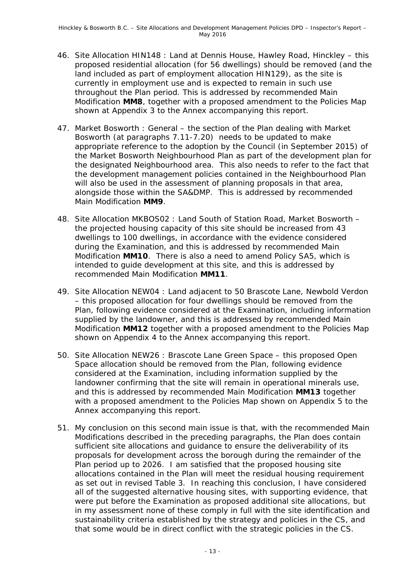- 46. Site Allocation HIN148 : Land at Dennis House, Hawley Road, Hinckley this proposed residential allocation (for 56 dwellings) should be removed (and the land included as part of employment allocation HIN129), as the site is currently in employment use and is expected to remain in such use throughout the Plan period. This is addressed by recommended Main Modification **MM8**, together with a proposed amendment to the Policies Map shown at Appendix 3 to the Annex accompanying this report.
- 47. Market Bosworth : General the section of the Plan dealing with Market Bosworth (at paragraphs 7.11-7.20) needs to be updated to make appropriate reference to the adoption by the Council (in September 2015) of the Market Bosworth Neighbourhood Plan as part of the development plan for the designated Neighbourhood area. This also needs to refer to the fact that the development management policies contained in the Neighbourhood Plan will also be used in the assessment of planning proposals in that area, alongside those within the SA&DMP. This is addressed by recommended Main Modification **MM9**.
- 48. Site Allocation MKBOS02 : Land South of Station Road, Market Bosworth the projected housing capacity of this site should be increased from 43 dwellings to 100 dwellings, in accordance with the evidence considered during the Examination, and this is addressed by recommended Main Modification **MM10**. There is also a need to amend Policy SA5, which is intended to guide development at this site, and this is addressed by recommended Main Modification **MM11**.
- 49. Site Allocation NEW04 : Land adjacent to 50 Brascote Lane, Newbold Verdon – this proposed allocation for four dwellings should be removed from the Plan, following evidence considered at the Examination, including information supplied by the landowner, and this is addressed by recommended Main Modification **MM12** together with a proposed amendment to the Policies Map shown on Appendix 4 to the Annex accompanying this report.
- 50. Site Allocation NEW26 : Brascote Lane Green Space this proposed Open Space allocation should be removed from the Plan, following evidence considered at the Examination, including information supplied by the landowner confirming that the site will remain in operational minerals use, and this is addressed by recommended Main Modification **MM13** together with a proposed amendment to the Policies Map shown on Appendix 5 to the Annex accompanying this report.
- 51. My conclusion on this second main issue is that, with the recommended Main Modifications described in the preceding paragraphs, the Plan does contain sufficient site allocations and guidance to ensure the deliverability of its proposals for development across the borough during the remainder of the Plan period up to 2026. I am satisfied that the proposed housing site allocations contained in the Plan will meet the residual housing requirement as set out in revised Table 3. In reaching this conclusion, I have considered all of the suggested alternative housing sites, with supporting evidence, that were put before the Examination as proposed additional site allocations, but in my assessment none of these comply in full with the site identification and sustainability criteria established by the strategy and policies in the CS, and that some would be in direct conflict with the strategic policies in the CS.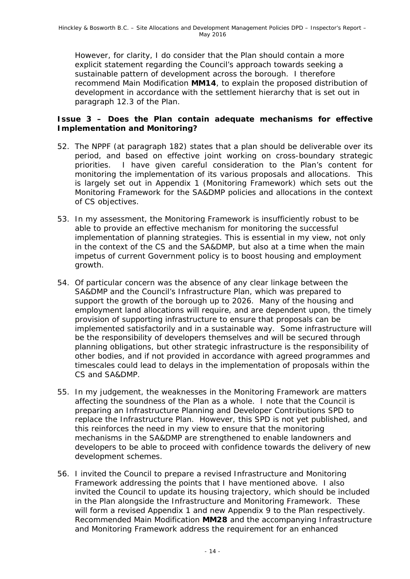However, for clarity, I do consider that the Plan should contain a more explicit statement regarding the Council's approach towards seeking a sustainable pattern of development across the borough. I therefore recommend Main Modification **MM14**, to explain the proposed distribution of development in accordance with the settlement hierarchy that is set out in paragraph 12.3 of the Plan.

#### **Issue 3 – Does the Plan contain adequate mechanisms for effective Implementation and Monitoring?**

- 52. The NPPF (at paragraph 182) states that a plan should be deliverable over its period, and based on effective joint working on cross-boundary strategic priorities. I have given careful consideration to the Plan's content for monitoring the implementation of its various proposals and allocations. This is largely set out in Appendix 1 (Monitoring Framework) which sets out the Monitoring Framework for the SA&DMP policies and allocations in the context of CS objectives.
- 53. In my assessment, the Monitoring Framework is insufficiently robust to be able to provide an effective mechanism for monitoring the successful implementation of planning strategies. This is essential in my view, not only in the context of the CS and the SA&DMP, but also at a time when the main impetus of current Government policy is to boost housing and employment growth.
- 54. Of particular concern was the absence of any clear linkage between the SA&DMP and the Council's Infrastructure Plan, which was prepared to support the growth of the borough up to 2026. Many of the housing and employment land allocations will require, and are dependent upon, the timely provision of supporting infrastructure to ensure that proposals can be implemented satisfactorily and in a sustainable way. Some infrastructure will be the responsibility of developers themselves and will be secured through planning obligations, but other strategic infrastructure is the responsibility of other bodies, and if not provided in accordance with agreed programmes and timescales could lead to delays in the implementation of proposals within the CS and SA&DMP.
- 55. In my judgement, the weaknesses in the Monitoring Framework are matters affecting the soundness of the Plan as a whole. I note that the Council is preparing an Infrastructure Planning and Developer Contributions SPD to replace the Infrastructure Plan. However, this SPD is not yet published, and this reinforces the need in my view to ensure that the monitoring mechanisms in the SA&DMP are strengthened to enable landowners and developers to be able to proceed with confidence towards the delivery of new development schemes.
- 56. I invited the Council to prepare a revised Infrastructure and Monitoring Framework addressing the points that I have mentioned above. I also invited the Council to update its housing trajectory, which should be included in the Plan alongside the Infrastructure and Monitoring Framework. These will form a revised Appendix 1 and new Appendix 9 to the Plan respectively. Recommended Main Modification **MM28** and the accompanying Infrastructure and Monitoring Framework address the requirement for an enhanced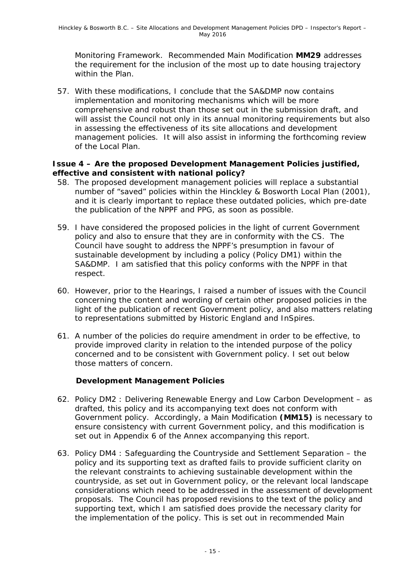Monitoring Framework. Recommended Main Modification **MM29** addresses the requirement for the inclusion of the most up to date housing trajectory within the Plan.

57. With these modifications, I conclude that the SA&DMP now contains implementation and monitoring mechanisms which will be more comprehensive and robust than those set out in the submission draft, and will assist the Council not only in its annual monitoring requirements but also in assessing the effectiveness of its site allocations and development management policies. It will also assist in informing the forthcoming review of the Local Plan.

#### **Issue 4 – Are the proposed Development Management Policies justified, effective and consistent with national policy?**

- 58. The proposed development management policies will replace a substantial number of "saved" policies within the Hinckley & Bosworth Local Plan (2001), and it is clearly important to replace these outdated policies, which pre-date the publication of the NPPF and PPG, as soon as possible.
- 59. I have considered the proposed policies in the light of current Government policy and also to ensure that they are in conformity with the CS. The Council have sought to address the NPPF's presumption in favour of sustainable development by including a policy (Policy DM1) within the SA&DMP. I am satisfied that this policy conforms with the NPPF in that respect.
- 60. However, prior to the Hearings, I raised a number of issues with the Council concerning the content and wording of certain other proposed policies in the light of the publication of recent Government policy, and also matters relating to representations submitted by Historic England and InSpires.
- 61. A number of the policies do require amendment in order to be effective, to provide improved clarity in relation to the intended purpose of the policy concerned and to be consistent with Government policy. I set out below those matters of concern.

### **Development Management Policies**

- 62. Policy DM2 : Delivering Renewable Energy and Low Carbon Development as drafted, this policy and its accompanying text does not conform with Government policy. Accordingly, a Main Modification **(MM15)** is necessary to ensure consistency with current Government policy, and this modification is set out in Appendix 6 of the Annex accompanying this report.
- 63. Policy DM4 : Safeguarding the Countryside and Settlement Separation the policy and its supporting text as drafted fails to provide sufficient clarity on the relevant constraints to achieving sustainable development within the countryside, as set out in Government policy, or the relevant local landscape considerations which need to be addressed in the assessment of development proposals. The Council has proposed revisions to the text of the policy and supporting text, which I am satisfied does provide the necessary clarity for the implementation of the policy. This is set out in recommended Main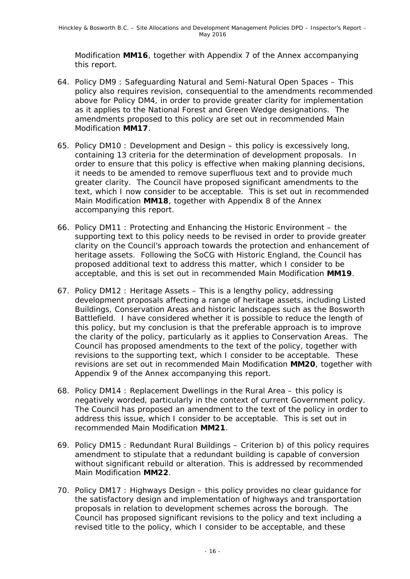Modification **MM16**, together with Appendix 7 of the Annex accompanying this report.

- 64. Policy DM9 : Safeguarding Natural and Semi-Natural Open Spaces This policy also requires revision, consequential to the amendments recommended above for Policy DM4, in order to provide greater clarity for implementation as it applies to the National Forest and Green Wedge designations. The amendments proposed to this policy are set out in recommended Main Modification **MM17**.
- 65. Policy DM10 : Development and Design this policy is excessively long, containing 13 criteria for the determination of development proposals. In order to ensure that this policy is effective when making planning decisions, it needs to be amended to remove superfluous text and to provide much greater clarity. The Council have proposed significant amendments to the text, which I now consider to be acceptable. This is set out in recommended Main Modification **MM18**, together with Appendix 8 of the Annex accompanying this report.
- 66. Policy DM11 : Protecting and Enhancing the Historic Environment the supporting text to this policy needs to be revised in order to provide greater clarity on the Council's approach towards the protection and enhancement of heritage assets. Following the SoCG with Historic England, the Council has proposed additional text to address this matter, which I consider to be acceptable, and this is set out in recommended Main Modification **MM19**.
- 67. Policy DM12 : Heritage Assets This is a lengthy policy, addressing development proposals affecting a range of heritage assets, including Listed Buildings, Conservation Areas and historic landscapes such as the Bosworth Battlefield. I have considered whether it is possible to reduce the length of this policy, but my conclusion is that the preferable approach is to improve the clarity of the policy, particularly as it applies to Conservation Areas. The Council has proposed amendments to the text of the policy, together with revisions to the supporting text, which I consider to be acceptable. These revisions are set out in recommended Main Modification **MM20**, together with Appendix 9 of the Annex accompanying this report.
- 68. Policy DM14 : Replacement Dwellings in the Rural Area this policy is negatively worded, particularly in the context of current Government policy. The Council has proposed an amendment to the text of the policy in order to address this issue, which I consider to be acceptable. This is set out in recommended Main Modification **MM21**.
- 69. Policy DM15 : Redundant Rural Buildings Criterion b) of this policy requires amendment to stipulate that a redundant building is capable of conversion without significant rebuild or alteration. This is addressed by recommended Main Modification **MM22**.
- 70. Policy DM17 : Highways Design this policy provides no clear guidance for the satisfactory design and implementation of highways and transportation proposals in relation to development schemes across the borough. The Council has proposed significant revisions to the policy and text including a revised title to the policy, which I consider to be acceptable, and these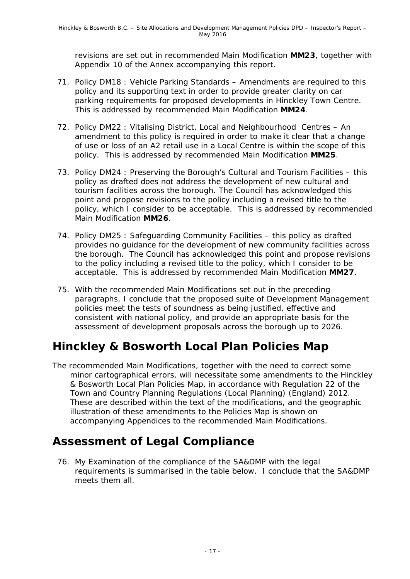revisions are set out in recommended Main Modification **MM23**, together with Appendix 10 of the Annex accompanying this report.

- 71. Policy DM18 : Vehicle Parking Standards Amendments are required to this policy and its supporting text in order to provide greater clarity on car parking requirements for proposed developments in Hinckley Town Centre. This is addressed by recommended Main Modification **MM24**.
- 72. Policy DM22 : Vitalising District, Local and Neighbourhood Centres An amendment to this policy is required in order to make it clear that a change of use or loss of an A2 retail use in a Local Centre is within the scope of this policy. This is addressed by recommended Main Modification **MM25**.
- 73. Policy DM24 : Preserving the Borough's Cultural and Tourism Facilities this policy as drafted does not address the development of new cultural and tourism facilities across the borough. The Council has acknowledged this point and propose revisions to the policy including a revised title to the policy, which I consider to be acceptable. This is addressed by recommended Main Modification **MM26**.
- 74. Policy DM25 : Safeguarding Community Facilities this policy as drafted provides no guidance for the development of new community facilities across the borough. The Council has acknowledged this point and propose revisions to the policy including a revised title to the policy, which I consider to be acceptable. This is addressed by recommended Main Modification **MM27**.
- 75. With the recommended Main Modifications set out in the preceding paragraphs, I conclude that the proposed suite of Development Management policies meet the tests of soundness as being justified, effective and consistent with national policy, and provide an appropriate basis for the assessment of development proposals across the borough up to 2026.

# **Hinckley & Bosworth Local Plan Policies Map**

The recommended Main Modifications, together with the need to correct some minor cartographical errors, will necessitate some amendments to the Hinckley & Bosworth Local Plan Policies Map, in accordance with Regulation 22 of the Town and Country Planning Regulations (Local Planning) (England) 2012. These are described within the text of the modifications, and the geographic illustration of these amendments to the Policies Map is shown on accompanying Appendices to the recommended Main Modifications.

## **Assessment of Legal Compliance**

76. My Examination of the compliance of the SA&DMP with the legal requirements is summarised in the table below. I conclude that the SA&DMP meets them all.